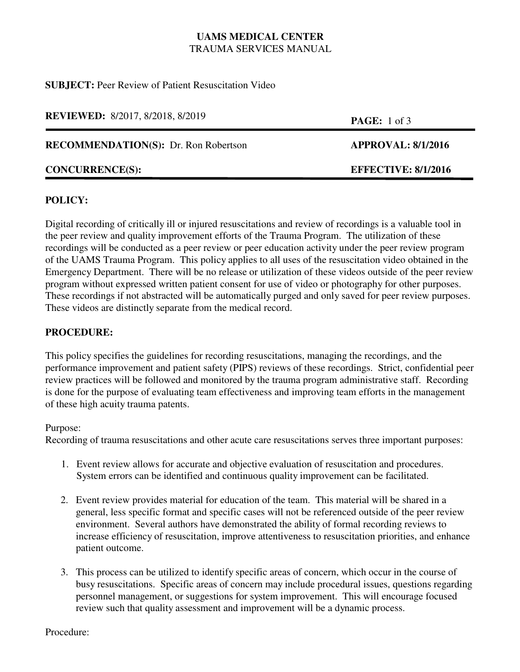# **UAMS MEDICAL CENTER** TRAUMA SERVICES MANUAL

**SUBJECT:** Peer Review of Patient Resuscitation Video

**REVIEWED:** 8/2017, 8/2018, 8/2019 **PAGE:** 1 of 3

**RECOMMENDATION(S):** Dr. Ron Robertson **APPROVAL: 8/1/2016**

# **CONCURRENCE(S): EFFECTIVE: 8/1/2016**

# **POLICY:**

Digital recording of critically ill or injured resuscitations and review of recordings is a valuable tool in the peer review and quality improvement efforts of the Trauma Program. The utilization of these recordings will be conducted as a peer review or peer education activity under the peer review program of the UAMS Trauma Program. This policy applies to all uses of the resuscitation video obtained in the Emergency Department. There will be no release or utilization of these videos outside of the peer review program without expressed written patient consent for use of video or photography for other purposes. These recordings if not abstracted will be automatically purged and only saved for peer review purposes. These videos are distinctly separate from the medical record.

# **PROCEDURE:**

This policy specifies the guidelines for recording resuscitations, managing the recordings, and the performance improvement and patient safety (PIPS) reviews of these recordings. Strict, confidential peer review practices will be followed and monitored by the trauma program administrative staff. Recording is done for the purpose of evaluating team effectiveness and improving team efforts in the management of these high acuity trauma patents.

#### Purpose:

Recording of trauma resuscitations and other acute care resuscitations serves three important purposes:

- 1. Event review allows for accurate and objective evaluation of resuscitation and procedures. System errors can be identified and continuous quality improvement can be facilitated.
- 2. Event review provides material for education of the team. This material will be shared in a general, less specific format and specific cases will not be referenced outside of the peer review environment. Several authors have demonstrated the ability of formal recording reviews to increase efficiency of resuscitation, improve attentiveness to resuscitation priorities, and enhance patient outcome.
- 3. This process can be utilized to identify specific areas of concern, which occur in the course of busy resuscitations. Specific areas of concern may include procedural issues, questions regarding personnel management, or suggestions for system improvement. This will encourage focused review such that quality assessment and improvement will be a dynamic process.

Procedure: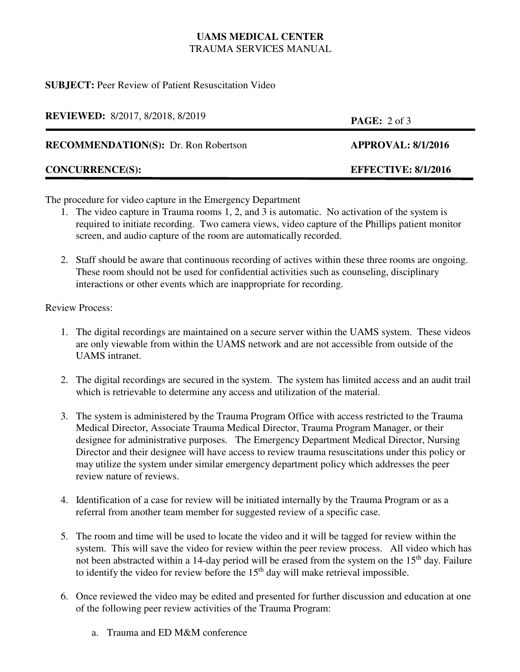# **UAMS MEDICAL CENTER** TRAUMA SERVICES MANUAL

#### **SUBJECT:** Peer Review of Patient Resuscitation Video

| <b>REVIEWED:</b> 8/2017, 8/2018, 8/2019     | <b>PAGE:</b> $2 \text{ of } 3$ |
|---------------------------------------------|--------------------------------|
| <b>RECOMMENDATION(S):</b> Dr. Ron Robertson | <b>APPROVAL: 8/1/2016</b>      |
| <b>CONCURRENCE(S):</b>                      | <b>EFFECTIVE: 8/1/2016</b>     |

The procedure for video capture in the Emergency Department

- 1. The video capture in Trauma rooms 1, 2, and 3 is automatic. No activation of the system is required to initiate recording. Two camera views, video capture of the Phillips patient monitor screen, and audio capture of the room are automatically recorded.
- 2. Staff should be aware that continuous recording of actives within these three rooms are ongoing. These room should not be used for confidential activities such as counseling, disciplinary interactions or other events which are inappropriate for recording.

Review Process:

- 1. The digital recordings are maintained on a secure server within the UAMS system. These videos are only viewable from within the UAMS network and are not accessible from outside of the UAMS intranet.
- 2. The digital recordings are secured in the system. The system has limited access and an audit trail which is retrievable to determine any access and utilization of the material.
- 3. The system is administered by the Trauma Program Office with access restricted to the Trauma Medical Director, Associate Trauma Medical Director, Trauma Program Manager, or their designee for administrative purposes. The Emergency Department Medical Director, Nursing Director and their designee will have access to review trauma resuscitations under this policy or may utilize the system under similar emergency department policy which addresses the peer review nature of reviews.
- 4. Identification of a case for review will be initiated internally by the Trauma Program or as a referral from another team member for suggested review of a specific case.
- 5. The room and time will be used to locate the video and it will be tagged for review within the system. This will save the video for review within the peer review process. All video which has not been abstracted within a 14-day period will be erased from the system on the 15<sup>th</sup> day. Failure to identify the video for review before the  $15<sup>th</sup>$  day will make retrieval impossible.
- 6. Once reviewed the video may be edited and presented for further discussion and education at one of the following peer review activities of the Trauma Program:
	- a. Trauma and ED M&M conference